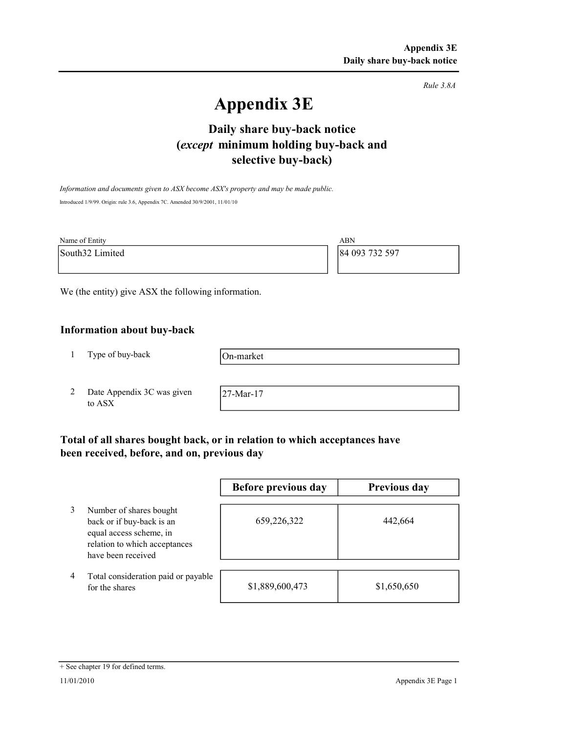Rule 3.8A

# Appendix 3E

# selective buy-back) Daily share buy-back notice (except minimum holding buy-back and

Information and documents given to ASX become ASX's property and may be made public. Introduced 1/9/99. Origin: rule 3.6, Appendix 7C. Amended 30/9/2001, 11/01/10

| Name of Entity  | ABN            |
|-----------------|----------------|
| South32 Limited | 84 093 732 597 |
|                 |                |

We (the entity) give ASX the following information.

## Information about buy-back

1 Type of buy-back

On-market

2 Date Appendix 3C was given to ASX

27-Mar-17

# Total of all shares bought back, or in relation to which acceptances have been received, before, and on, previous day

|   |                                                                                                                                        | Before previous day | Previous day |
|---|----------------------------------------------------------------------------------------------------------------------------------------|---------------------|--------------|
|   | Number of shares bought<br>back or if buy-back is an<br>equal access scheme, in<br>relation to which acceptances<br>have been received | 659,226,322         | 442,664      |
| 4 | Total consideration paid or payable<br>for the shares                                                                                  | \$1,889,600,473     | \$1,650,650  |

#### + See chapter 19 for defined terms.